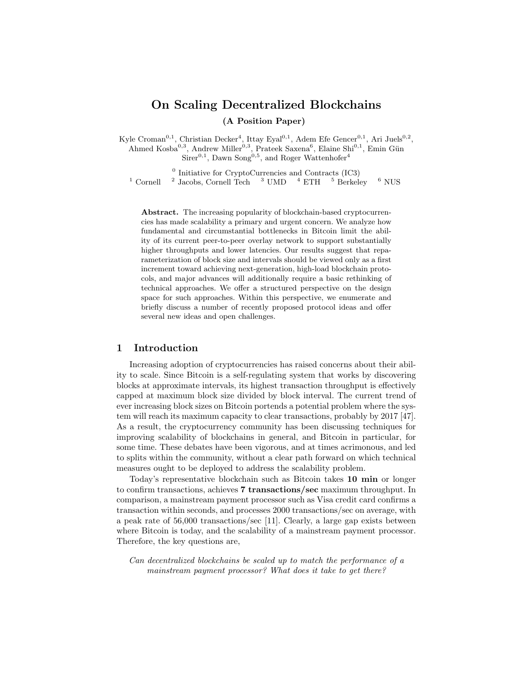# On Scaling Decentralized Blockchains (A Position Paper)

Kyle Croman<sup>0,1</sup>, Christian Decker<sup>4</sup>, Ittay Eyal<sup>0,1</sup>, Adem Efe Gencer<sup>0,1</sup>, Ari Juels<sup>0,2</sup>, Ahmed Kosba<sup>0,3</sup>, Andrew Miller<sup>0,3</sup>, Prateek Saxena<sup>6</sup>, Elaine Shi<sup>0,1</sup>, Emin Gün  $Sirer^{0,1}$ , Dawn  $Song^{0,5}$ , and Roger Wattenhofer<sup>4</sup>

0 Initiative for CryptoCurrencies and Contracts (IC3)  $1$  Cornell <sup>2</sup> Jacobs, Cornell Tech <sup>3</sup> UMD <sup>4</sup> ETH <sup>5</sup> Berkeley <sup>6</sup> NUS

Abstract. The increasing popularity of blockchain-based cryptocurrencies has made scalability a primary and urgent concern. We analyze how fundamental and circumstantial bottlenecks in Bitcoin limit the ability of its current peer-to-peer overlay network to support substantially higher throughputs and lower latencies. Our results suggest that reparameterization of block size and intervals should be viewed only as a first increment toward achieving next-generation, high-load blockchain protocols, and major advances will additionally require a basic rethinking of technical approaches. We offer a structured perspective on the design space for such approaches. Within this perspective, we enumerate and briefly discuss a number of recently proposed protocol ideas and offer several new ideas and open challenges.

# 1 Introduction

Increasing adoption of cryptocurrencies has raised concerns about their ability to scale. Since Bitcoin is a self-regulating system that works by discovering blocks at approximate intervals, its highest transaction throughput is effectively capped at maximum block size divided by block interval. The current trend of ever increasing block sizes on Bitcoin portends a potential problem where the system will reach its maximum capacity to clear transactions, probably by 2017 [47]. As a result, the cryptocurrency community has been discussing techniques for improving scalability of blockchains in general, and Bitcoin in particular, for some time. These debates have been vigorous, and at times acrimonous, and led to splits within the community, without a clear path forward on which technical measures ought to be deployed to address the scalability problem.

Today's representative blockchain such as Bitcoin takes 10 min or longer to confirm transactions, achieves 7 transactions/sec maximum throughput. In comparison, a mainstream payment processor such as Visa credit card confirms a transaction within seconds, and processes 2000 transactions/sec on average, with a peak rate of 56,000 transactions/sec [11]. Clearly, a large gap exists between where Bitcoin is today, and the scalability of a mainstream payment processor. Therefore, the key questions are,

Can decentralized blockchains be scaled up to match the performance of a mainstream payment processor? What does it take to get there?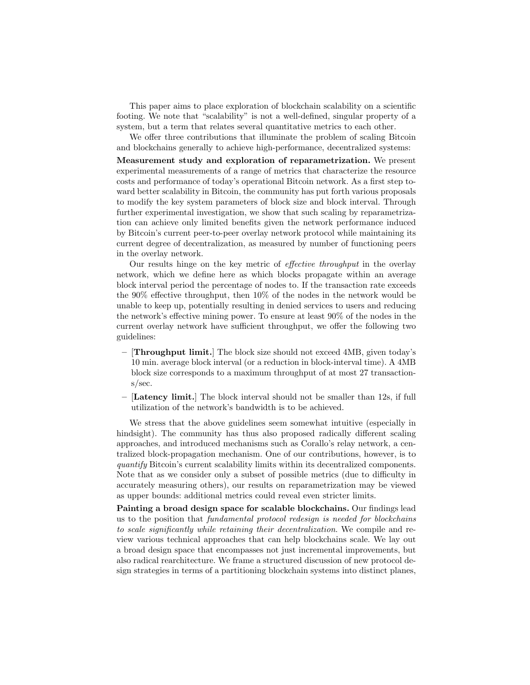This paper aims to place exploration of blockchain scalability on a scientific footing. We note that "scalability" is not a well-defined, singular property of a system, but a term that relates several quantitative metrics to each other.

We offer three contributions that illuminate the problem of scaling Bitcoin and blockchains generally to achieve high-performance, decentralized systems:

Measurement study and exploration of reparametrization. We present experimental measurements of a range of metrics that characterize the resource costs and performance of today's operational Bitcoin network. As a first step toward better scalability in Bitcoin, the community has put forth various proposals to modify the key system parameters of block size and block interval. Through further experimental investigation, we show that such scaling by reparametrization can achieve only limited benefits given the network performance induced by Bitcoin's current peer-to-peer overlay network protocol while maintaining its current degree of decentralization, as measured by number of functioning peers in the overlay network.

Our results hinge on the key metric of effective throughput in the overlay network, which we define here as which blocks propagate within an average block interval period the percentage of nodes to. If the transaction rate exceeds the 90% effective throughput, then 10% of the nodes in the network would be unable to keep up, potentially resulting in denied services to users and reducing the network's effective mining power. To ensure at least 90% of the nodes in the current overlay network have sufficient throughput, we offer the following two guidelines:

- [Throughput limit.] The block size should not exceed 4MB, given today's 10 min. average block interval (or a reduction in block-interval time). A 4MB block size corresponds to a maximum throughput of at most 27 transactions/sec.
- [Latency limit.] The block interval should not be smaller than 12s, if full utilization of the network's bandwidth is to be achieved.

We stress that the above guidelines seem somewhat intuitive (especially in hindsight). The community has thus also proposed radically different scaling approaches, and introduced mechanisms such as Corallo's relay network, a centralized block-propagation mechanism. One of our contributions, however, is to quantify Bitcoin's current scalability limits within its decentralized components. Note that as we consider only a subset of possible metrics (due to difficulty in accurately measuring others), our results on reparametrization may be viewed as upper bounds: additional metrics could reveal even stricter limits.

Painting a broad design space for scalable blockchains. Our findings lead us to the position that fundamental protocol redesign is needed for blockchains to scale significantly while retaining their decentralization. We compile and review various technical approaches that can help blockchains scale. We lay out a broad design space that encompasses not just incremental improvements, but also radical rearchitecture. We frame a structured discussion of new protocol design strategies in terms of a partitioning blockchain systems into distinct planes,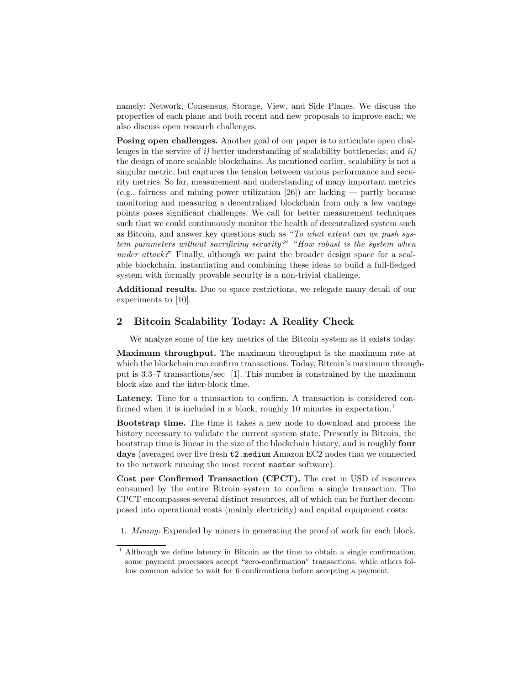namely: Network, Consensus, Storage, View, and Side Planes. We discuss the properties of each plane and both recent and new proposals to improve each; we also discuss open research challenges.

Posing open challenges. Another goal of our paper is to articulate open challenges in the service of i) better understanding of scalability bottlenecks; and  $ii$ the design of more scalable blockchains. As mentioned earlier, scalability is not a singular metric, but captures the tension between various performance and security metrics. So far, measurement and understanding of many important metrics (e.g., fairness and mining power utilization [26]) are lacking — partly because monitoring and measuring a decentralized blockchain from only a few vantage points poses significant challenges. We call for better measurement techniques such that we could continuously monitor the health of decentralized system such as Bitcoin, and answer key questions such as "To what extent can we push system parameters without sacrificing security?" "How robust is the system when under attack?" Finally, although we paint the broader design space for a scalable blockchain, instantiating and combining these ideas to build a full-fledged system with formally provable security is a non-trivial challenge.

Additional results. Due to space restrictions, we relegate many detail of our experiments to [10].

## 2 Bitcoin Scalability Today: A Reality Check

We analyze some of the key metrics of the Bitcoin system as it exists today.

Maximum throughput. The maximum throughput is the maximum rate at which the blockchain can confirm transactions. Today, Bitcoin's maximum throughput is 3.3–7 transactions/sec [1]. This number is constrained by the maximum block size and the inter-block time.

Latency. Time for a transaction to confirm. A transaction is considered confirmed when it is included in a block, roughly 10 minutes in expectation.<sup>1</sup>

Bootstrap time. The time it takes a new node to download and process the history necessary to validate the current system state. Presently in Bitcoin, the bootstrap time is linear in the size of the blockchain history, and is roughly four days (averaged over five fresh t2.medium Amazon EC2 nodes that we connected to the network running the most recent master software).

Cost per Confirmed Transaction (CPCT). The cost in USD of resources consumed by the entire Bitcoin system to confirm a single transaction. The CPCT encompasses several distinct resources, all of which can be further decomposed into operational costs (mainly electricity) and capital equipment costs:

1. Mining: Expended by miners in generating the proof of work for each block.

<sup>&</sup>lt;sup>1</sup> Although we define latency in Bitcoin as the time to obtain a single confirmation, some payment processors accept "zero-confirmation" transactions, while others follow common advice to wait for 6 confirmations before accepting a payment.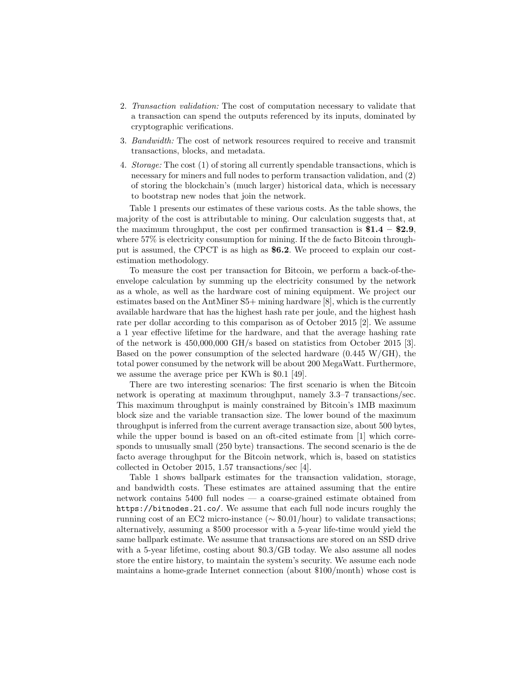- 2. Transaction validation: The cost of computation necessary to validate that a transaction can spend the outputs referenced by its inputs, dominated by cryptographic verifications.
- 3. Bandwidth: The cost of network resources required to receive and transmit transactions, blocks, and metadata.
- 4. Storage: The cost (1) of storing all currently spendable transactions, which is necessary for miners and full nodes to perform transaction validation, and (2) of storing the blockchain's (much larger) historical data, which is necessary to bootstrap new nodes that join the network.

Table 1 presents our estimates of these various costs. As the table shows, the majority of the cost is attributable to mining. Our calculation suggests that, at the maximum throughput, the cost per confirmed transaction is  $$1.4 - $2.9$ , where  $57\%$  is electricity consumption for mining. If the de facto Bitcoin throughput is assumed, the CPCT is as high as \$6.2. We proceed to explain our costestimation methodology.

To measure the cost per transaction for Bitcoin, we perform a back-of-theenvelope calculation by summing up the electricity consumed by the network as a whole, as well as the hardware cost of mining equipment. We project our estimates based on the AntMiner S5+ mining hardware [8], which is the currently available hardware that has the highest hash rate per joule, and the highest hash rate per dollar according to this comparison as of October 2015 [2]. We assume a 1 year effective lifetime for the hardware, and that the average hashing rate of the network is 450,000,000 GH/s based on statistics from October 2015 [3]. Based on the power consumption of the selected hardware  $(0.445 \text{ W/GH})$ , the total power consumed by the network will be about 200 MegaWatt. Furthermore, we assume the average price per KWh is \$0.1 [49].

There are two interesting scenarios: The first scenario is when the Bitcoin network is operating at maximum throughput, namely 3.3–7 transactions/sec. This maximum throughput is mainly constrained by Bitcoin's 1MB maximum block size and the variable transaction size. The lower bound of the maximum throughput is inferred from the current average transaction size, about 500 bytes, while the upper bound is based on an off-cited estimate from [1] which corresponds to unusually small (250 byte) transactions. The second scenario is the de facto average throughput for the Bitcoin network, which is, based on statistics collected in October 2015, 1.57 transactions/sec [4].

Table 1 shows ballpark estimates for the transaction validation, storage, and bandwidth costs. These estimates are attained assuming that the entire network contains 5400 full nodes — a coarse-grained estimate obtained from https://bitnodes.21.co/. We assume that each full node incurs roughly the running cost of an EC2 micro-instance ( $\sim$  \$0.01/hour) to validate transactions; alternatively, assuming a \$500 processor with a 5-year life-time would yield the same ballpark estimate. We assume that transactions are stored on an SSD drive with a 5-year lifetime, costing about \$0.3/GB today. We also assume all nodes store the entire history, to maintain the system's security. We assume each node maintains a home-grade Internet connection (about \$100/month) whose cost is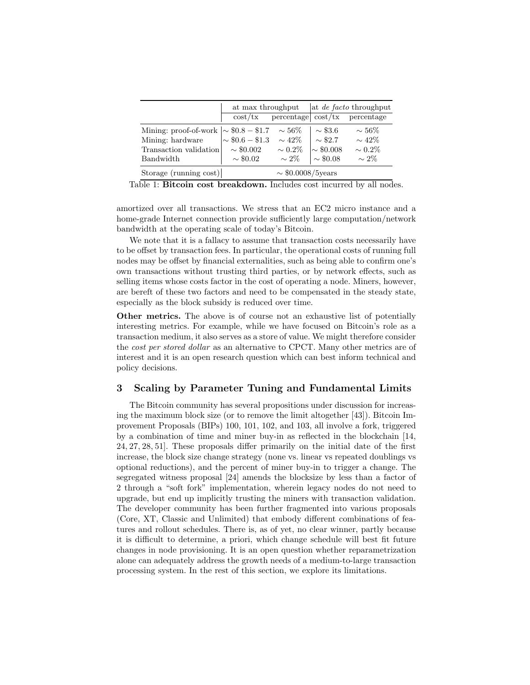|                                                                                                       | at max throughput<br>$\cos t / t x$                  |                                                          |                                                                | at <i>de facto</i> throughput<br>$percentage   cost/tx$ percentage |
|-------------------------------------------------------------------------------------------------------|------------------------------------------------------|----------------------------------------------------------|----------------------------------------------------------------|--------------------------------------------------------------------|
| Mining: proof-of-work $\sim$ \$0.8 - \$1.7<br>Mining: hardware<br>Transaction validation<br>Bandwidth | $\sim $0.6 - $1.3$<br>$\sim\$0.002$<br>$\sim \$0.02$ | $\sim 56\%$<br>$\sim 42\%$<br>$\sim 0.2\%$<br>$\sim 2\%$ | $\sim$ \$3.6<br>$\sim$ \$2.7<br>$\sim$ \$0.008<br>$\sim\$0.08$ | $\sim 56\%$<br>$\sim 42\%$<br>$\sim 0.2\%$<br>$\sim$ 2\%           |
| Storage (running cost)                                                                                |                                                      | $\sim$ \$0.0008/5 years                                  |                                                                |                                                                    |

Table 1: Bitcoin cost breakdown. Includes cost incurred by all nodes.

amortized over all transactions. We stress that an EC2 micro instance and a home-grade Internet connection provide sufficiently large computation/network bandwidth at the operating scale of today's Bitcoin.

We note that it is a fallacy to assume that transaction costs necessarily have to be offset by transaction fees. In particular, the operational costs of running full nodes may be offset by financial externalities, such as being able to confirm one's own transactions without trusting third parties, or by network effects, such as selling items whose costs factor in the cost of operating a node. Miners, however, are bereft of these two factors and need to be compensated in the steady state, especially as the block subsidy is reduced over time.

Other metrics. The above is of course not an exhaustive list of potentially interesting metrics. For example, while we have focused on Bitcoin's role as a transaction medium, it also serves as a store of value. We might therefore consider the cost per stored dollar as an alternative to CPCT. Many other metrics are of interest and it is an open research question which can best inform technical and policy decisions.

# 3 Scaling by Parameter Tuning and Fundamental Limits

The Bitcoin community has several propositions under discussion for increasing the maximum block size (or to remove the limit altogether [43]). Bitcoin Improvement Proposals (BIPs) 100, 101, 102, and 103, all involve a fork, triggered by a combination of time and miner buy-in as reflected in the blockchain [14, 24, 27, 28, 51]. These proposals differ primarily on the initial date of the first increase, the block size change strategy (none vs. linear vs repeated doublings vs optional reductions), and the percent of miner buy-in to trigger a change. The segregated witness proposal [24] amends the blocksize by less than a factor of 2 through a "soft fork" implementation, wherein legacy nodes do not need to upgrade, but end up implicitly trusting the miners with transaction validation. The developer community has been further fragmented into various proposals (Core, XT, Classic and Unlimited) that embody different combinations of features and rollout schedules. There is, as of yet, no clear winner, partly because it is difficult to determine, a priori, which change schedule will best fit future changes in node provisioning. It is an open question whether reparametrization alone can adequately address the growth needs of a medium-to-large transaction processing system. In the rest of this section, we explore its limitations.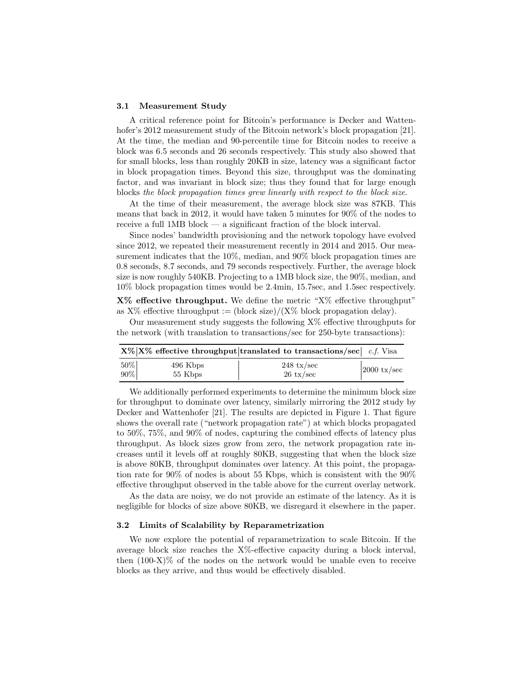#### 3.1 Measurement Study

A critical reference point for Bitcoin's performance is Decker and Wattenhofer's 2012 measurement study of the Bitcoin network's block propagation [21]. At the time, the median and 90-percentile time for Bitcoin nodes to receive a block was 6.5 seconds and 26 seconds respectively. This study also showed that for small blocks, less than roughly 20KB in size, latency was a significant factor in block propagation times. Beyond this size, throughput was the dominating factor, and was invariant in block size; thus they found that for large enough blocks the block propagation times grew linearly with respect to the block size.

At the time of their measurement, the average block size was 87KB. This means that back in 2012, it would have taken 5 minutes for 90% of the nodes to receive a full 1MB block — a significant fraction of the block interval.

Since nodes' bandwidth provisioning and the network topology have evolved since 2012, we repeated their measurement recently in 2014 and 2015. Our measurement indicates that the 10%, median, and 90% block propagation times are 0.8 seconds, 8.7 seconds, and 79 seconds respectively. Further, the average block size is now roughly 540KB. Projecting to a 1MB block size, the 90%, median, and 10% block propagation times would be 2.4min, 15.7sec, and 1.5sec respectively.

 $X\%$  effective throughput. We define the metric " $X\%$  effective throughput" as  $X\%$  effective throughput := (block size)/( $X\%$  block propagation delay).

Our measurement study suggests the following  $X\%$  effective throughputs for the network (with translation to transactions/sec for 250-byte transactions):

|        |            | $\mathbf{X}\% \mathbf{X}\%$ effective throughput translated to transactions/sec $\ c.f.$ Visa |                       |
|--------|------------|-----------------------------------------------------------------------------------------------|-----------------------|
| 50%    | $496$ Kbps | $248$ tx/sec                                                                                  | $2000 \text{ tx/sec}$ |
| $90\%$ | 55 Kbps    | $26 \text{ tx/sec}$                                                                           |                       |

We additionally performed experiments to determine the minimum block size for throughput to dominate over latency, similarly mirroring the 2012 study by Decker and Wattenhofer [21]. The results are depicted in Figure 1. That figure shows the overall rate ("network propagation rate") at which blocks propagated to 50%, 75%, and 90% of nodes, capturing the combined effects of latency plus throughput. As block sizes grow from zero, the network propagation rate increases until it levels off at roughly 80KB, suggesting that when the block size is above 80KB, throughput dominates over latency. At this point, the propagation rate for 90% of nodes is about 55 Kbps, which is consistent with the 90% effective throughput observed in the table above for the current overlay network.

As the data are noisy, we do not provide an estimate of the latency. As it is negligible for blocks of size above 80KB, we disregard it elsewhere in the paper.

#### 3.2 Limits of Scalability by Reparametrization

We now explore the potential of reparametrization to scale Bitcoin. If the average block size reaches the  $X\%$ -effective capacity during a block interval, then  $(100-X)\%$  of the nodes on the network would be unable even to receive blocks as they arrive, and thus would be effectively disabled.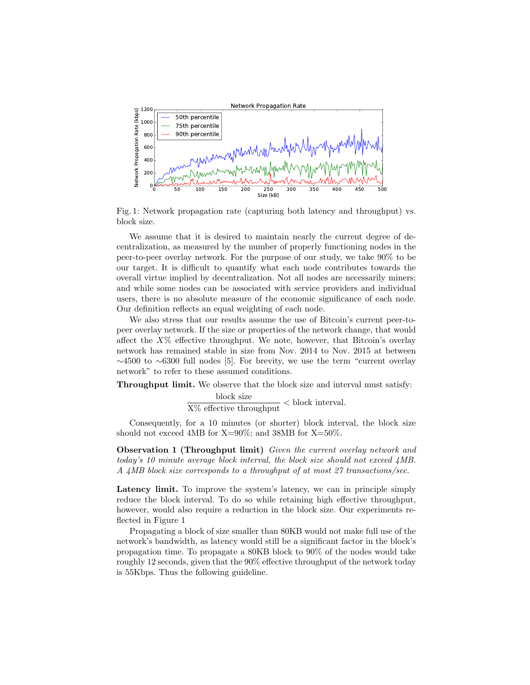

Fig. 1: Network propagation rate (capturing both latency and throughput) vs. block size.

We assume that it is desired to maintain nearly the current degree of decentralization, as measured by the number of properly functioning nodes in the peer-to-peer overlay network. For the purpose of our study, we take 90% to be our target. It is difficult to quantify what each node contributes towards the overall virtue implied by decentralization. Not all nodes are necessarily miners; and while some nodes can be associated with service providers and individual users, there is no absolute measure of the economic significance of each node. Our definition reflects an equal weighting of each node.

We also stress that our results assume the use of Bitcoin's current peer-topeer overlay network. If the size or properties of the network change, that would affect the  $X\%$  effective throughput. We note, however, that Bitcoin's overlay network has remained stable in size from Nov. 2014 to Nov. 2015 at between ∼4500 to ∼6300 full nodes [5]. For brevity, we use the term "current overlay network" to refer to these assumed conditions.

Throughput limit. We observe that the block size and interval must satisfy:

block size<br> $\overline{X\%}$  effective throughput < block interval.

Consequently, for a 10 minutes (or shorter) block interval, the block size should not exceed 4MB for  $X=90\%$ ; and 38MB for  $X=50\%$ .

Observation 1 (Throughput limit) Given the current overlay network and today's 10 minute average block interval, the block size should not exceed 4MB. A 4MB block size corresponds to a throughput of at most 27 transactions/sec.

Latency limit. To improve the system's latency, we can in principle simply reduce the block interval. To do so while retaining high effective throughput, however, would also require a reduction in the block size. Our experiments reflected in Figure 1

Propagating a block of size smaller than 80KB would not make full use of the network's bandwidth, as latency would still be a significant factor in the block's propagation time. To propagate a 80KB block to 90% of the nodes would take roughly 12 seconds, given that the 90% effective throughput of the network today is 55Kbps. Thus the following guideline.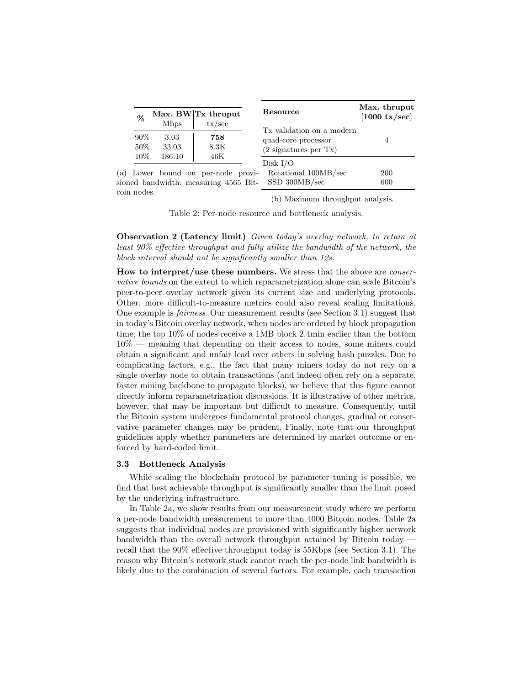| $\%$                 | <b>M</b> bps            | Max. BW Tx thruput<br>tx/sec                                            | Resource                                                                    | Max. thruput<br>$[1000$ tx/sec] |
|----------------------|-------------------------|-------------------------------------------------------------------------|-----------------------------------------------------------------------------|---------------------------------|
| $90\%$<br>50%<br>10% | 3.03<br>33.03<br>186.10 | 758<br>8.3K<br>46K                                                      | Tx validation on a modern<br>quad-core processor<br>$(2$ signatures per Tx) |                                 |
| (a)                  |                         | Lower bound on per-node provi-<br>sioned bandwidth: measuring 4565 Bit- | Disk I/O<br>Rotational 100MB/sec<br>SSD 300MB/sec                           | 200<br>600                      |

sioned bandwidth: measuring 4565 Bitcoin nodes.

(b) Maximum throughput analysis.

Table 2: Per-node resource and bottleneck analysis.

Observation 2 (Latency limit) Given today's overlay network, to retain at least 90% effective throughput and fully utilize the bandwidth of the network, the block interval should not be significantly smaller than 12s.

How to interpret/use these numbers. We stress that the above are conservative bounds on the extent to which reparametrization alone can scale Bitcoin's peer-to-peer overlay network given its current size and underlying protocols. Other, more difficult-to-measure metrics could also reveal scaling limitations. One example is fairness. Our measurement results (see Section 3.1) suggest that in today's Bitcoin overlay network, when nodes are ordered by block propagation time, the top 10% of nodes receive a 1MB block 2.4min earlier than the bottom 10% — meaning that depending on their access to nodes, some miners could obtain a significant and unfair lead over others in solving hash puzzles. Due to complicating factors, e.g., the fact that many miners today do not rely on a single overlay node to obtain transactions (and indeed often rely on a separate, faster mining backbone to propagate blocks), we believe that this figure cannot directly inform reparametrization discussions. It is illustrative of other metrics, however, that may be important but difficult to measure. Consequently, until the Bitcoin system undergoes fundamental protocol changes, gradual or conservative parameter changes may be prudent. Finally, note that our throughput guidelines apply whether parameters are determined by market outcome or enforced by hard-coded limit.

#### 3.3 Bottleneck Analysis

While scaling the blockchain protocol by parameter tuning is possible, we find that best achievable throughput is significantly smaller than the limit posed by the underlying infrastructure.

In Table 2a, we show results from our measurement study where we perform a per-node bandwidth measurement to more than 4000 Bitcoin nodes. Table 2a suggests that individual nodes are provisioned with significantly higher network bandwidth than the overall network throughput attained by Bitcoin today recall that the 90% effective throughput today is 55Kbps (see Section 3.1). The reason why Bitcoin's network stack cannot reach the per-node link bandwidth is likely due to the combination of several factors. For example, each transaction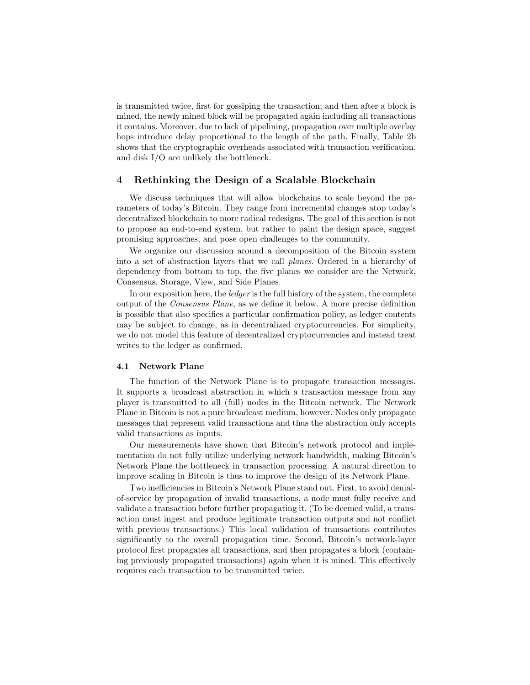is transmitted twice, first for gossiping the transaction; and then after a block is mined, the newly mined block will be propagated again including all transactions it contains. Moreover, due to lack of pipelining, propagation over multiple overlay hops introduce delay proportional to the length of the path. Finally, Table 2b shows that the cryptographic overheads associated with transaction verification, and disk I/O are unlikely the bottleneck.

## 4 Rethinking the Design of a Scalable Blockchain

We discuss techniques that will allow blockchains to scale beyond the parameters of today's Bitcoin. They range from incremental changes atop today's decentralized blockchain to more radical redesigns. The goal of this section is not to propose an end-to-end system, but rather to paint the design space, suggest promising approaches, and pose open challenges to the community.

We organize our discussion around a decomposition of the Bitcoin system into a set of abstraction layers that we call planes. Ordered in a hierarchy of dependency from bottom to top, the five planes we consider are the Network, Consensus, Storage, View, and Side Planes.

In our exposition here, the ledger is the full history of the system, the complete output of the Consensus Plane, as we define it below. A more precise definition is possible that also specifies a particular confirmation policy, as ledger contents may be subject to change, as in decentralized cryptocurrencies. For simplicity, we do not model this feature of decentralized cryptocurrencies and instead treat writes to the ledger as confirmed.

#### 4.1 Network Plane

The function of the Network Plane is to propagate transaction messages. It supports a broadcast abstraction in which a transaction message from any player is transmitted to all (full) nodes in the Bitcoin network. The Network Plane in Bitcoin is not a pure broadcast medium, however. Nodes only propagate messages that represent valid transactions and thus the abstraction only accepts valid transactions as inputs.

Our measurements have shown that Bitcoin's network protocol and implementation do not fully utilize underlying network bandwidth, making Bitcoin's Network Plane the bottleneck in transaction processing. A natural direction to improve scaling in Bitcoin is thus to improve the design of its Network Plane.

Two inefficiencies in Bitcoin's Network Plane stand out. First, to avoid denialof-service by propagation of invalid transactions, a node must fully receive and validate a transaction before further propagating it. (To be deemed valid, a transaction must ingest and produce legitimate transaction outputs and not conflict with previous transactions.) This local validation of transactions contributes significantly to the overall propagation time. Second, Bitcoin's network-layer protocol first propagates all transactions, and then propagates a block (containing previously propagated transactions) again when it is mined. This effectively requires each transaction to be transmitted twice.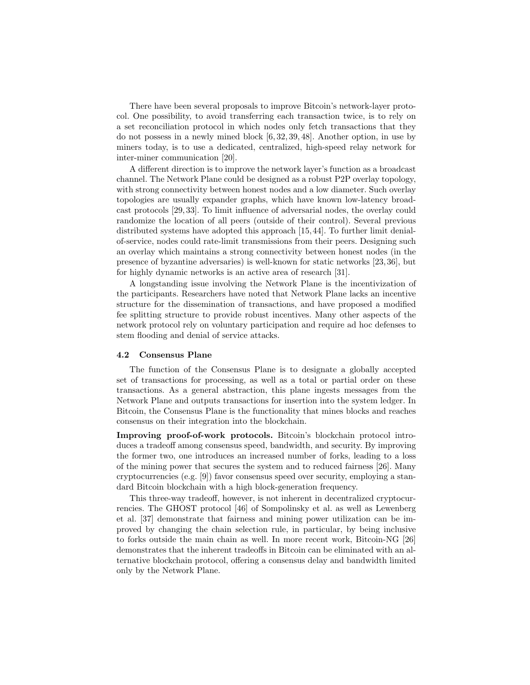There have been several proposals to improve Bitcoin's network-layer protocol. One possibility, to avoid transferring each transaction twice, is to rely on a set reconciliation protocol in which nodes only fetch transactions that they do not possess in a newly mined block [6, 32, 39, 48]. Another option, in use by miners today, is to use a dedicated, centralized, high-speed relay network for inter-miner communication [20].

A different direction is to improve the network layer's function as a broadcast channel. The Network Plane could be designed as a robust P2P overlay topology, with strong connectivity between honest nodes and a low diameter. Such overlay topologies are usually expander graphs, which have known low-latency broadcast protocols [29, 33]. To limit influence of adversarial nodes, the overlay could randomize the location of all peers (outside of their control). Several previous distributed systems have adopted this approach [15, 44]. To further limit denialof-service, nodes could rate-limit transmissions from their peers. Designing such an overlay which maintains a strong connectivity between honest nodes (in the presence of byzantine adversaries) is well-known for static networks [23, 36], but for highly dynamic networks is an active area of research [31].

A longstanding issue involving the Network Plane is the incentivization of the participants. Researchers have noted that Network Plane lacks an incentive structure for the dissemination of transactions, and have proposed a modified fee splitting structure to provide robust incentives. Many other aspects of the network protocol rely on voluntary participation and require ad hoc defenses to stem flooding and denial of service attacks.

#### 4.2 Consensus Plane

The function of the Consensus Plane is to designate a globally accepted set of transactions for processing, as well as a total or partial order on these transactions. As a general abstraction, this plane ingests messages from the Network Plane and outputs transactions for insertion into the system ledger. In Bitcoin, the Consensus Plane is the functionality that mines blocks and reaches consensus on their integration into the blockchain.

Improving proof-of-work protocols. Bitcoin's blockchain protocol introduces a tradeoff among consensus speed, bandwidth, and security. By improving the former two, one introduces an increased number of forks, leading to a loss of the mining power that secures the system and to reduced fairness [26]. Many cryptocurrencies (e.g. [9]) favor consensus speed over security, employing a standard Bitcoin blockchain with a high block-generation frequency.

This three-way tradeoff, however, is not inherent in decentralized cryptocurrencies. The GHOST protocol [46] of Sompolinsky et al. as well as Lewenberg et al. [37] demonstrate that fairness and mining power utilization can be improved by changing the chain selection rule, in particular, by being inclusive to forks outside the main chain as well. In more recent work, Bitcoin-NG [26] demonstrates that the inherent tradeoffs in Bitcoin can be eliminated with an alternative blockchain protocol, offering a consensus delay and bandwidth limited only by the Network Plane.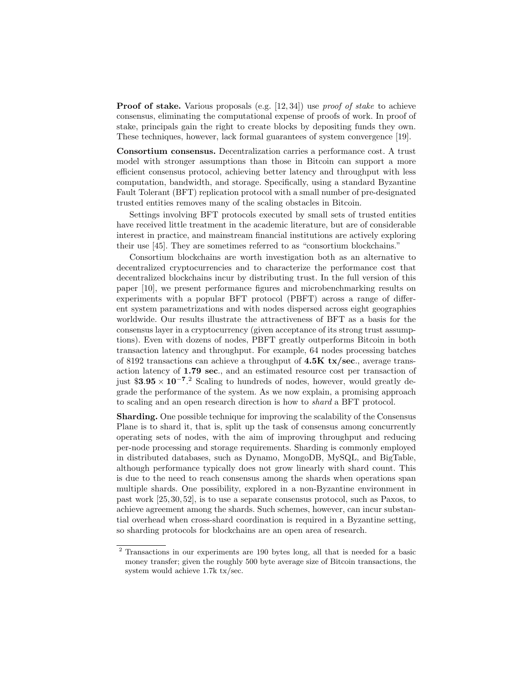**Proof of stake.** Various proposals (e.g.  $[12, 34]$ ) use proof of stake to achieve consensus, eliminating the computational expense of proofs of work. In proof of stake, principals gain the right to create blocks by depositing funds they own. These techniques, however, lack formal guarantees of system convergence [19].

Consortium consensus. Decentralization carries a performance cost. A trust model with stronger assumptions than those in Bitcoin can support a more efficient consensus protocol, achieving better latency and throughput with less computation, bandwidth, and storage. Specifically, using a standard Byzantine Fault Tolerant (BFT) replication protocol with a small number of pre-designated trusted entities removes many of the scaling obstacles in Bitcoin.

Settings involving BFT protocols executed by small sets of trusted entities have received little treatment in the academic literature, but are of considerable interest in practice, and mainstream financial institutions are actively exploring their use [45]. They are sometimes referred to as "consortium blockchains."

Consortium blockchains are worth investigation both as an alternative to decentralized cryptocurrencies and to characterize the performance cost that decentralized blockchains incur by distributing trust. In the full version of this paper [10], we present performance figures and microbenchmarking results on experiments with a popular BFT protocol (PBFT) across a range of different system parametrizations and with nodes dispersed across eight geographies worldwide. Our results illustrate the attractiveness of BFT as a basis for the consensus layer in a cryptocurrency (given acceptance of its strong trust assumptions). Even with dozens of nodes, PBFT greatly outperforms Bitcoin in both transaction latency and throughput. For example, 64 nodes processing batches of 8192 transactions can achieve a throughput of  $4.5K$  tx/sec., average transaction latency of 1.79 sec., and an estimated resource cost per transaction of just  $$3.95 \times 10^{-7}$ .<sup>2</sup> Scaling to hundreds of nodes, however, would greatly degrade the performance of the system. As we now explain, a promising approach to scaling and an open research direction is how to shard a BFT protocol.

Sharding. One possible technique for improving the scalability of the Consensus Plane is to shard it, that is, split up the task of consensus among concurrently operating sets of nodes, with the aim of improving throughput and reducing per-node processing and storage requirements. Sharding is commonly employed in distributed databases, such as Dynamo, MongoDB, MySQL, and BigTable, although performance typically does not grow linearly with shard count. This is due to the need to reach consensus among the shards when operations span multiple shards. One possibility, explored in a non-Byzantine environment in past work [25, 30, 52], is to use a separate consensus protocol, such as Paxos, to achieve agreement among the shards. Such schemes, however, can incur substantial overhead when cross-shard coordination is required in a Byzantine setting, so sharding protocols for blockchains are an open area of research.

<sup>2</sup> Transactions in our experiments are 190 bytes long, all that is needed for a basic money transfer; given the roughly 500 byte average size of Bitcoin transactions, the system would achieve 1.7k tx/sec.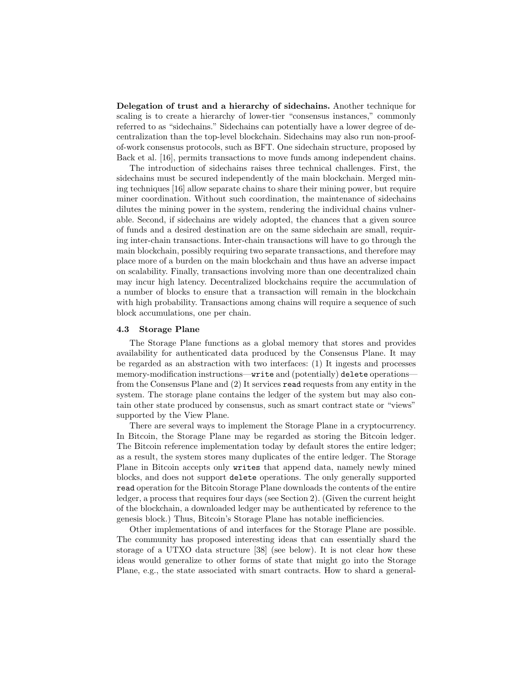Delegation of trust and a hierarchy of sidechains. Another technique for scaling is to create a hierarchy of lower-tier "consensus instances," commonly referred to as "sidechains." Sidechains can potentially have a lower degree of decentralization than the top-level blockchain. Sidechains may also run non-proofof-work consensus protocols, such as BFT. One sidechain structure, proposed by Back et al. [16], permits transactions to move funds among independent chains.

The introduction of sidechains raises three technical challenges. First, the sidechains must be secured independently of the main blockchain. Merged mining techniques [16] allow separate chains to share their mining power, but require miner coordination. Without such coordination, the maintenance of sidechains dilutes the mining power in the system, rendering the individual chains vulnerable. Second, if sidechains are widely adopted, the chances that a given source of funds and a desired destination are on the same sidechain are small, requiring inter-chain transactions. Inter-chain transactions will have to go through the main blockchain, possibly requiring two separate transactions, and therefore may place more of a burden on the main blockchain and thus have an adverse impact on scalability. Finally, transactions involving more than one decentralized chain may incur high latency. Decentralized blockchains require the accumulation of a number of blocks to ensure that a transaction will remain in the blockchain with high probability. Transactions among chains will require a sequence of such block accumulations, one per chain.

#### 4.3 Storage Plane

The Storage Plane functions as a global memory that stores and provides availability for authenticated data produced by the Consensus Plane. It may be regarded as an abstraction with two interfaces: (1) It ingests and processes memory-modification instructions—write and (potentially) delete operations from the Consensus Plane and (2) It services read requests from any entity in the system. The storage plane contains the ledger of the system but may also contain other state produced by consensus, such as smart contract state or "views" supported by the View Plane.

There are several ways to implement the Storage Plane in a cryptocurrency. In Bitcoin, the Storage Plane may be regarded as storing the Bitcoin ledger. The Bitcoin reference implementation today by default stores the entire ledger; as a result, the system stores many duplicates of the entire ledger. The Storage Plane in Bitcoin accepts only writes that append data, namely newly mined blocks, and does not support delete operations. The only generally supported read operation for the Bitcoin Storage Plane downloads the contents of the entire ledger, a process that requires four days (see Section 2). (Given the current height of the blockchain, a downloaded ledger may be authenticated by reference to the genesis block.) Thus, Bitcoin's Storage Plane has notable inefficiencies.

Other implementations of and interfaces for the Storage Plane are possible. The community has proposed interesting ideas that can essentially shard the storage of a UTXO data structure [38] (see below). It is not clear how these ideas would generalize to other forms of state that might go into the Storage Plane, e.g., the state associated with smart contracts. How to shard a general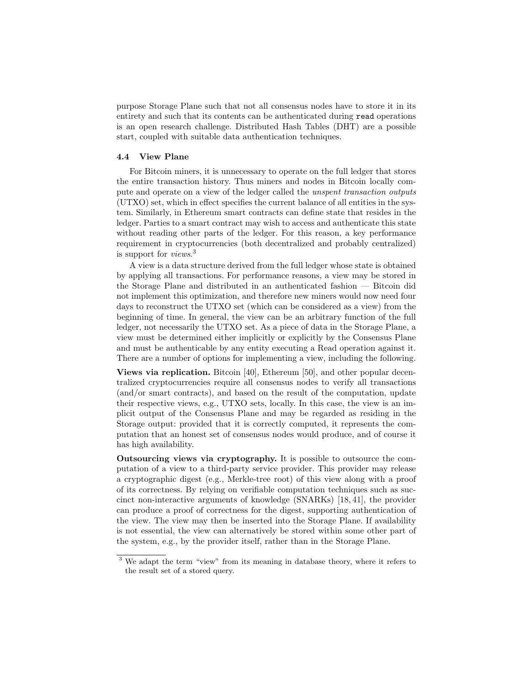purpose Storage Plane such that not all consensus nodes have to store it in its entirety and such that its contents can be authenticated during read operations is an open research challenge. Distributed Hash Tables (DHT) are a possible start, coupled with suitable data authentication techniques.

#### 4.4 View Plane

For Bitcoin miners, it is unnecessary to operate on the full ledger that stores the entire transaction history. Thus miners and nodes in Bitcoin locally compute and operate on a view of the ledger called the unspent transaction outputs (UTXO) set, which in effect specifies the current balance of all entities in the system. Similarly, in Ethereum smart contracts can define state that resides in the ledger. Parties to a smart contract may wish to access and authenticate this state without reading other parts of the ledger. For this reason, a key performance requirement in cryptocurrencies (both decentralized and probably centralized) is support for views. 3

A view is a data structure derived from the full ledger whose state is obtained by applying all transactions. For performance reasons, a view may be stored in the Storage Plane and distributed in an authenticated fashion — Bitcoin did not implement this optimization, and therefore new miners would now need four days to reconstruct the UTXO set (which can be considered as a view) from the beginning of time. In general, the view can be an arbitrary function of the full ledger, not necessarily the UTXO set. As a piece of data in the Storage Plane, a view must be determined either implicitly or explicitly by the Consensus Plane and must be authenticable by any entity executing a Read operation against it. There are a number of options for implementing a view, including the following.

Views via replication. Bitcoin [40], Ethereum [50], and other popular decentralized cryptocurrencies require all consensus nodes to verify all transactions (and/or smart contracts), and based on the result of the computation, update their respective views, e.g., UTXO sets, locally. In this case, the view is an implicit output of the Consensus Plane and may be regarded as residing in the Storage output: provided that it is correctly computed, it represents the computation that an honest set of consensus nodes would produce, and of course it has high availability.

Outsourcing views via cryptography. It is possible to outsource the computation of a view to a third-party service provider. This provider may release a cryptographic digest (e.g., Merkle-tree root) of this view along with a proof of its correctness. By relying on verifiable computation techniques such as succinct non-interactive arguments of knowledge (SNARKs) [18, 41], the provider can produce a proof of correctness for the digest, supporting authentication of the view. The view may then be inserted into the Storage Plane. If availability is not essential, the view can alternatively be stored within some other part of the system, e.g., by the provider itself, rather than in the Storage Plane.

<sup>&</sup>lt;sup>3</sup> We adapt the term "view" from its meaning in database theory, where it refers to the result set of a stored query.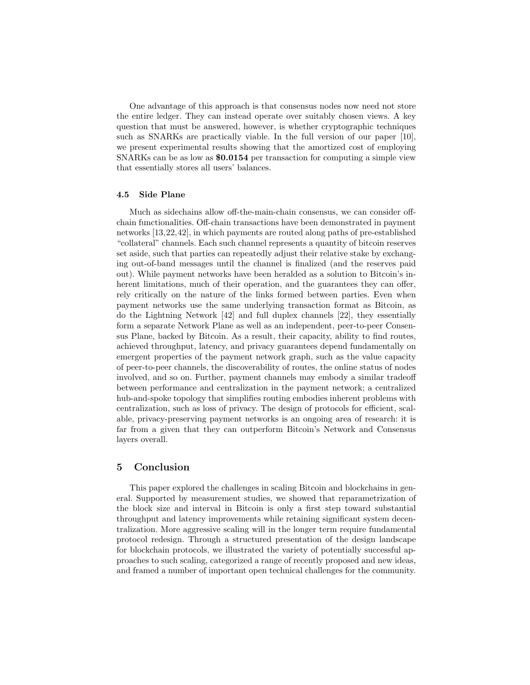One advantage of this approach is that consensus nodes now need not store the entire ledger. They can instead operate over suitably chosen views. A key question that must be answered, however, is whether cryptographic techniques such as SNARKs are practically viable. In the full version of our paper [10], we present experimental results showing that the amortized cost of employing SNARKs can be as low as \$0.0154 per transaction for computing a simple view that essentially stores all users' balances.

## 4.5 Side Plane

Much as sidechains allow off-the-main-chain consensus, we can consider offchain functionalities. Off-chain transactions have been demonstrated in payment networks [13,22,42], in which payments are routed along paths of pre-established "collateral" channels. Each such channel represents a quantity of bitcoin reserves set aside, such that parties can repeatedly adjust their relative stake by exchanging out-of-band messages until the channel is finalized (and the reserves paid out). While payment networks have been heralded as a solution to Bitcoin's inherent limitations, much of their operation, and the guarantees they can offer, rely critically on the nature of the links formed between parties. Even when payment networks use the same underlying transaction format as Bitcoin, as do the Lightning Network [42] and full duplex channels [22], they essentially form a separate Network Plane as well as an independent, peer-to-peer Consensus Plane, backed by Bitcoin. As a result, their capacity, ability to find routes, achieved throughput, latency, and privacy guarantees depend fundamentally on emergent properties of the payment network graph, such as the value capacity of peer-to-peer channels, the discoverability of routes, the online status of nodes involved, and so on. Further, payment channels may embody a similar tradeoff between performance and centralization in the payment network; a centralized hub-and-spoke topology that simplifies routing embodies inherent problems with centralization, such as loss of privacy. The design of protocols for efficient, scalable, privacy-preserving payment networks is an ongoing area of research: it is far from a given that they can outperform Bitcoin's Network and Consensus layers overall.

## 5 Conclusion

This paper explored the challenges in scaling Bitcoin and blockchains in general. Supported by measurement studies, we showed that reparametrization of the block size and interval in Bitcoin is only a first step toward substantial throughput and latency improvements while retaining significant system decentralization. More aggressive scaling will in the longer term require fundamental protocol redesign. Through a structured presentation of the design landscape for blockchain protocols, we illustrated the variety of potentially successful approaches to such scaling, categorized a range of recently proposed and new ideas, and framed a number of important open technical challenges for the community.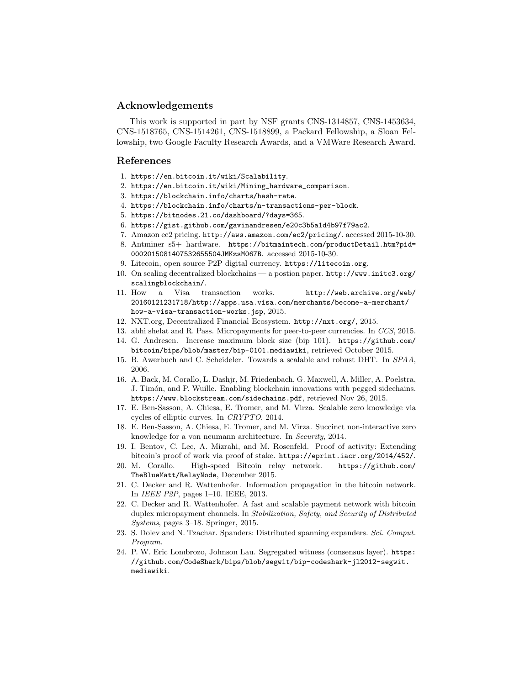## Acknowledgements

This work is supported in part by NSF grants CNS-1314857, CNS-1453634, CNS-1518765, CNS-1514261, CNS-1518899, a Packard Fellowship, a Sloan Fellowship, two Google Faculty Research Awards, and a VMWare Research Award.

# References

- 1. https://en.bitcoin.it/wiki/Scalability.
- 2. https://en.bitcoin.it/wiki/Mining\_hardware\_comparison.
- 3. https://blockchain.info/charts/hash-rate.
- 4. https://blockchain.info/charts/n-transactions-per-block.
- 5. https://bitnodes.21.co/dashboard/?days=365.
- 6. https://gist.github.com/gavinandresen/e20c3b5a1d4b97f79ac2.
- 7. Amazon ec2 pricing. http://aws.amazon.com/ec2/pricing/. accessed 2015-10-30.
- 8. Antminer s5+ hardware. https://bitmaintech.com/productDetail.htm?pid= 0002015081407532655504JMKzsM067B. accessed 2015-10-30.
- 9. Litecoin, open source P2P digital currency. https://litecoin.org.
- 10. On scaling decentralized blockchains a postion paper. http://www.initc3.org/ scalingblockchain/.
- 11. How a Visa transaction works. http://web.archive.org/web/ 20160121231718/http://apps.usa.visa.com/merchants/become-a-merchant/ how-a-visa-transaction-works.jsp, 2015.
- 12. NXT.org, Decentralized Financial Ecosystem. http://nxt.org/, 2015.
- 13. abhi shelat and R. Pass. Micropayments for peer-to-peer currencies. In CCS, 2015.
- 14. G. Andresen. Increase maximum block size (bip 101). https://github.com/ bitcoin/bips/blob/master/bip-0101.mediawiki, retrieved October 2015.
- 15. B. Awerbuch and C. Scheideler. Towards a scalable and robust DHT. In SPAA, 2006.
- 16. A. Back, M. Corallo, L. Dashjr, M. Friedenbach, G. Maxwell, A. Miller, A. Poelstra, J. Timón, and P. Wuille. Enabling blockchain innovations with pegged sidechains. https://www.blockstream.com/sidechains.pdf, retrieved Nov 26, 2015.
- 17. E. Ben-Sasson, A. Chiesa, E. Tromer, and M. Virza. Scalable zero knowledge via cycles of elliptic curves. In CRYPTO. 2014.
- 18. E. Ben-Sasson, A. Chiesa, E. Tromer, and M. Virza. Succinct non-interactive zero knowledge for a von neumann architecture. In Security, 2014.
- 19. I. Bentov, C. Lee, A. Mizrahi, and M. Rosenfeld. Proof of activity: Extending bitcoin's proof of work via proof of stake. https://eprint.iacr.org/2014/452/.
- 20. M. Corallo. High-speed Bitcoin relay network. https://github.com/ TheBlueMatt/RelayNode, December 2015.
- 21. C. Decker and R. Wattenhofer. Information propagation in the bitcoin network. In IEEE P2P, pages 1–10. IEEE, 2013.
- 22. C. Decker and R. Wattenhofer. A fast and scalable payment network with bitcoin duplex micropayment channels. In Stabilization, Safety, and Security of Distributed Systems, pages 3–18. Springer, 2015.
- 23. S. Dolev and N. Tzachar. Spanders: Distributed spanning expanders. Sci. Comput. Program.
- 24. P. W. Eric Lombrozo, Johnson Lau. Segregated witness (consensus layer). https: //github.com/CodeShark/bips/blob/segwit/bip-codeshark-jl2012-segwit. mediawiki.